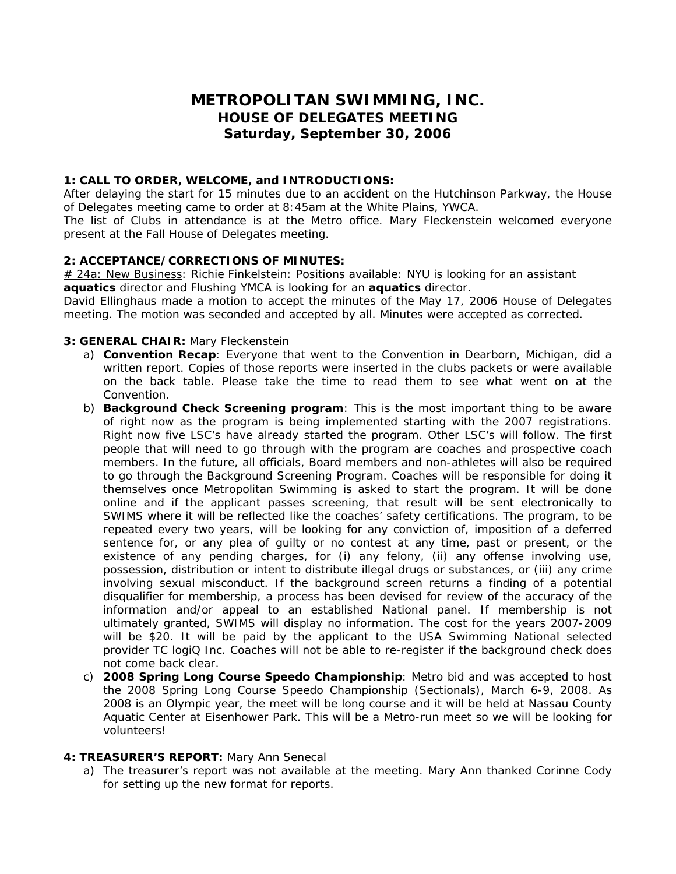# **METROPOLITAN SWIMMING, INC. HOUSE OF DELEGATES MEETING Saturday, September 30, 2006**

### **1: CALL TO ORDER, WELCOME, and INTRODUCTIONS:**

After delaying the start for 15 minutes due to an accident on the Hutchinson Parkway, the House of Delegates meeting came to order at 8:45am at the White Plains, YWCA.

The list of Clubs in attendance is at the Metro office. Mary Fleckenstein welcomed everyone present at the Fall House of Delegates meeting.

### **2: ACCEPTANCE/CORRECTIONS OF MINUTES:**

*# 24a: New Business*: Richie Finkelstein: Positions available: NYU is looking for an assistant **aquatics** director and Flushing YMCA is looking for an **aquatics** director.

David Ellinghaus made a motion to accept the minutes of the May 17, 2006 House of Delegates meeting. The motion was seconded and accepted by all. Minutes were accepted as corrected.

### **3: GENERAL CHAIR:** Mary Fleckenstein

- a) **Convention Recap**: Everyone that went to the Convention in Dearborn, Michigan, did a written report. Copies of those reports were inserted in the clubs packets or were available on the back table. Please take the time to read them to see what went on at the Convention.
- b) **Background Check Screening program**: This is the most important thing to be aware of right now as the program is being implemented starting with the 2007 registrations. Right now five LSC's have already started the program. Other LSC's will follow. The first people that will need to go through with the program are coaches and prospective coach members. In the future, all officials, Board members and non-athletes will also be required to go through the Background Screening Program. Coaches will be responsible for doing it themselves once Metropolitan Swimming is asked to start the program. It will be done online and if the applicant passes screening, that result will be sent electronically to SWIMS where it will be reflected like the coaches' safety certifications. The program, to be repeated every two years, will be looking for *any conviction of, imposition of a deferred sentence for, or any plea of guilty or no contest at any time, past or present, or the existence of any pending charges, for (i) any felony, (ii) any offense involving use, possession, distribution or intent to distribute illegal drugs or substances, or (iii) any crime involving sexual misconduct*. If the background screen returns a finding of a potential disqualifier for membership, a process has been devised for review of the accuracy of the information and/or appeal to an established National panel. If membership is not ultimately granted, SWIMS will display no information. The cost for the years 2007-2009 will be \$20. It will be paid by the applicant to the USA Swimming National selected provider TC logiQ Inc. Coaches will not be able to re-register if the background check does not come back clear.
- c) **2008 Spring Long Course Speedo Championship**: Metro bid and was accepted to host the 2008 Spring Long Course Speedo Championship (Sectionals), March 6-9, 2008. As 2008 is an Olympic year, the meet will be long course and it will be held at Nassau County Aquatic Center at Eisenhower Park. This will be a Metro-run meet so we will be looking for volunteers!

### **4: TREASURER'S REPORT:** Mary Ann Senecal

a) The treasurer's report was not available at the meeting. Mary Ann thanked Corinne Cody for setting up the new format for reports.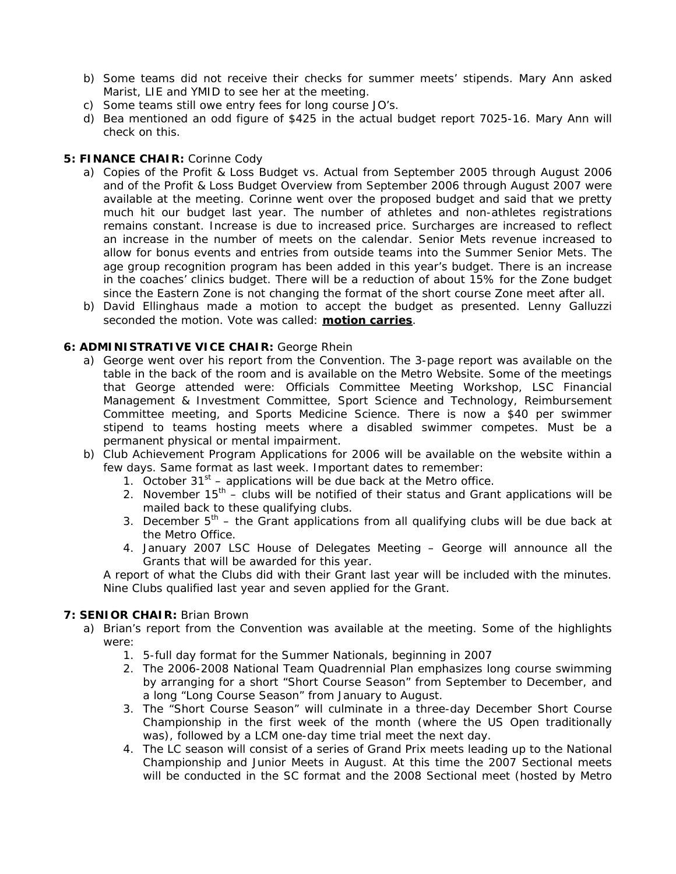- b) Some teams did not receive their checks for summer meets' stipends. Mary Ann asked Marist, LIE and YMID to see her at the meeting.
- c) Some teams still owe entry fees for long course JO's.
- d) Bea mentioned an odd figure of \$425 in the actual budget report 7025-16. Mary Ann will check on this.

### **5: FINANCE CHAIR:** Corinne Cody

- a) Copies of the Profit & Loss Budget vs. Actual from September 2005 through August 2006 and of the Profit & Loss Budget Overview from September 2006 through August 2007 were available at the meeting. Corinne went over the proposed budget and said that we pretty much hit our budget last year. The number of athletes and non-athletes registrations remains constant. Increase is due to increased price. Surcharges are increased to reflect an increase in the number of meets on the calendar. Senior Mets revenue increased to allow for bonus events and entries from outside teams into the Summer Senior Mets. The age group recognition program has been added in this year's budget. There is an increase in the coaches' clinics budget. There will be a reduction of about 15% for the Zone budget since the Eastern Zone is not changing the format of the short course Zone meet after all.
- b) David Ellinghaus made a motion to accept the budget as presented. Lenny Galluzzi seconded the motion. Vote was called: **motion carries**.

# **6: ADMINISTRATIVE VICE CHAIR:** George Rhein

- a) George went over his report from the Convention. The 3-page report was available on the table in the back of the room and is available on the Metro Website. Some of the meetings that George attended were: Officials Committee Meeting Workshop, LSC Financial Management & Investment Committee, Sport Science and Technology, Reimbursement Committee meeting, and Sports Medicine Science. There is now a \$40 per swimmer stipend to teams hosting meets where a disabled swimmer competes. Must be a permanent physical or mental impairment.
- b) Club Achievement Program Applications for 2006 will be available on the website within a few days. Same format as last week. Important dates to remember:
	- 1. October  $31<sup>st</sup>$  applications will be due back at the Metro office.
	- 2. November  $15<sup>th</sup>$  clubs will be notified of their status and Grant applications will be mailed back to these qualifying clubs.
	- 3. December  $5<sup>th</sup>$  the Grant applications from all qualifying clubs will be due back at the Metro Office.
	- 4. January 2007 LSC House of Delegates Meeting George will announce all the Grants that will be awarded for this year.

A report of what the Clubs did with their Grant last year will be included with the minutes. Nine Clubs qualified last year and seven applied for the Grant.

# **7: SENIOR CHAIR:** Brian Brown

- a) Brian's report from the Convention was available at the meeting. Some of the highlights were:
	- 1. 5-full day format for the Summer Nationals, beginning in 2007
	- 2. The 2006-2008 National Team Quadrennial Plan emphasizes long course swimming by arranging for a short "Short Course Season" from September to December, and a long "Long Course Season" from January to August.
	- 3. The "Short Course Season" will culminate in a three-day December Short Course Championship in the first week of the month (where the US Open traditionally was), followed by a LCM one-day time trial meet the next day.
	- 4. The LC season will consist of a series of Grand Prix meets leading up to the National Championship and Junior Meets in August. At this time the 2007 Sectional meets will be conducted in the SC format and the 2008 Sectional meet (hosted by Metro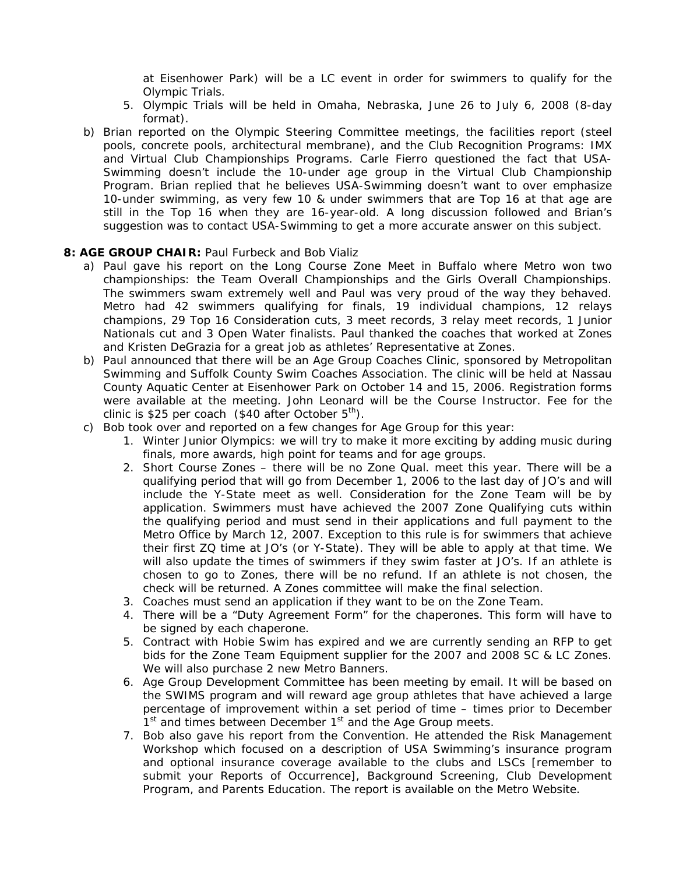at Eisenhower Park) will be a LC event in order for swimmers to qualify for the Olympic Trials.

- 5. Olympic Trials will be held in Omaha, Nebraska, June 26 to July 6, 2008 (8-day format).
- b) Brian reported on the Olympic Steering Committee meetings, the facilities report (steel pools, concrete pools, architectural membrane), and the Club Recognition Programs: IMX and Virtual Club Championships Programs. Carle Fierro questioned the fact that USA-Swimming doesn't include the 10-under age group in the Virtual Club Championship Program. Brian replied that he believes USA-Swimming doesn't want to over emphasize 10-under swimming, as very few 10 & under swimmers that are Top 16 at that age are still in the Top 16 when they are 16-year-old. A long discussion followed and Brian's suggestion was to contact USA-Swimming to get a more accurate answer on this subject.

#### **8: AGE GROUP CHAIR:** Paul Furbeck and Bob Vializ

- a) Paul gave his report on the Long Course Zone Meet in Buffalo where Metro won two championships: the Team Overall Championships and the Girls Overall Championships. The swimmers swam extremely well and Paul was very proud of the way they behaved. Metro had 42 swimmers qualifying for finals, 19 individual champions, 12 relays champions, 29 Top 16 Consideration cuts, 3 meet records, 3 relay meet records, 1 Junior Nationals cut and 3 Open Water finalists. Paul thanked the coaches that worked at Zones and Kristen DeGrazia for a great job as athletes' Representative at Zones.
- b) Paul announced that there will be an Age Group Coaches Clinic, sponsored by Metropolitan Swimming and Suffolk County Swim Coaches Association. The clinic will be held at Nassau County Aquatic Center at Eisenhower Park on October 14 and 15, 2006. Registration forms were available at the meeting. John Leonard will be the Course Instructor. Fee for the clinic is \$25 per coach (\$40 after October  $5<sup>th</sup>$ ).
- c) Bob took over and reported on a few changes for Age Group for this year:
	- 1. Winter Junior Olympics: we will try to make it more exciting by adding music during finals, more awards, high point for teams and for age groups.
	- 2. Short Course Zones there will be no Zone Qual. meet this year. There will be a qualifying period that will go from December 1, 2006 to the last day of JO's and will include the Y-State meet as well. Consideration for the Zone Team will be by application. Swimmers must have achieved the 2007 Zone Qualifying cuts within the qualifying period and must send in their applications and full payment to the Metro Office by March 12, 2007. Exception to this rule is for swimmers that achieve their first ZQ time at JO's (or Y-State). They will be able to apply at that time. We will also update the times of swimmers if they swim faster at JO's. If an athlete is chosen to go to Zones, there will be no refund. If an athlete is not chosen, the check will be returned. A Zones committee will make the final selection.
	- 3. Coaches must send an application if they want to be on the Zone Team.
	- 4. There will be a "Duty Agreement Form" for the chaperones. This form will have to be signed by each chaperone.
	- 5. Contract with Hobie Swim has expired and we are currently sending an RFP to get bids for the Zone Team Equipment supplier for the 2007 and 2008 SC & LC Zones. We will also purchase 2 new Metro Banners.
	- 6. Age Group Development Committee has been meeting by email. It will be based on the SWIMS program and will reward age group athletes that have achieved a large percentage of improvement within a set period of time – times prior to December 1<sup>st</sup> and times between December 1<sup>st</sup> and the Age Group meets.
	- 7. Bob also gave his report from the Convention. He attended the Risk Management Workshop which focused on a description of USA Swimming's insurance program and optional insurance coverage available to the clubs and LSCs [remember to submit your Reports of Occurrence], Background Screening, Club Development Program, and Parents Education. The report is available on the Metro Website.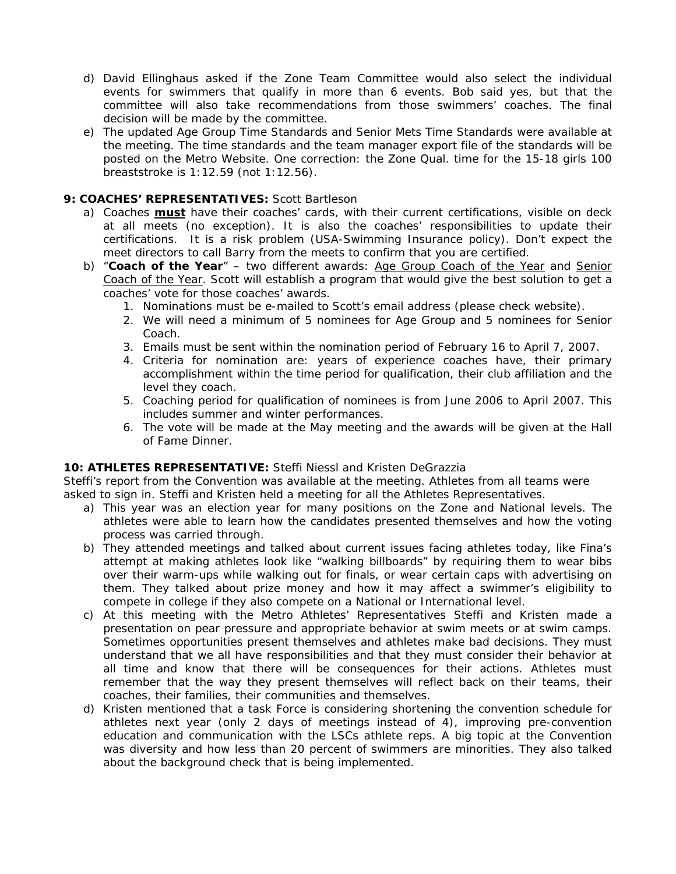- d) David Ellinghaus asked if the Zone Team Committee would also select the individual events for swimmers that qualify in more than 6 events. Bob said yes, but that the committee will also take recommendations from those swimmers' coaches. The final decision will be made by the committee.
- e) The updated Age Group Time Standards and Senior Mets Time Standards were available at the meeting. The time standards and the team manager export file of the standards will be posted on the Metro Website. One correction: the Zone Qual. time for the 15-18 girls 100 breaststroke is 1:12.59 (not 1:12.56).

### **9: COACHES' REPRESENTATIVES:** Scott Bartleson

- a) Coaches **must** have their coaches' cards, with their current certifications, visible on deck at all meets (no exception). It is also the coaches' responsibilities to update their certifications. It is a risk problem (USA-Swimming Insurance policy). Don't expect the meet directors to call Barry from the meets to confirm that you are certified.
- b) "Coach of the Year" two different awards: Age Group Coach of the Year and Senior Coach of the Year. Scott will establish a program that would give the best solution to get a coaches' vote for those coaches' awards.
	- 1. Nominations must be e-mailed to Scott's email address (please check website).
	- 2. We will need a minimum of 5 nominees for Age Group and 5 nominees for Senior Coach.
	- 3. Emails must be sent within the nomination period of February 16 to April 7, 2007.
	- 4. Criteria for nomination are: years of experience coaches have, their primary accomplishment within the time period for qualification, their club affiliation and the level they coach.
	- 5. Coaching period for qualification of nominees is from June 2006 to April 2007. This includes summer and winter performances.
	- 6. The vote will be made at the May meeting and the awards will be given at the Hall of Fame Dinner.

### **10: ATHLETES REPRESENTATIVE:** Steffi Niessl and Kristen DeGrazzia

Steffi's report from the Convention was available at the meeting. Athletes from all teams were asked to sign in. Steffi and Kristen held a meeting for all the Athletes Representatives.

- a) This year was an election year for many positions on the Zone and National levels. The athletes were able to learn how the candidates presented themselves and how the voting process was carried through.
- b) They attended meetings and talked about current issues facing athletes today, like Fina's attempt at making athletes look like "walking billboards" by requiring them to wear bibs over their warm-ups while walking out for finals, or wear certain caps with advertising on them. They talked about prize money and how it may affect a swimmer's eligibility to compete in college if they also compete on a National or International level.
- c) At this meeting with the Metro Athletes' Representatives Steffi and Kristen made a presentation on pear pressure and appropriate behavior at swim meets or at swim camps. Sometimes opportunities present themselves and athletes make bad decisions. They must understand that we all have responsibilities and that they must consider their behavior at all time and know that there will be consequences for their actions. Athletes must remember that the way they present themselves will reflect back on their teams, their coaches, their families, their communities and themselves.
- d) Kristen mentioned that a task Force is considering shortening the convention schedule for athletes next year (only 2 days of meetings instead of 4), improving pre-convention education and communication with the LSCs athlete reps. A big topic at the Convention was diversity and how less than 20 percent of swimmers are minorities. They also talked about the background check that is being implemented.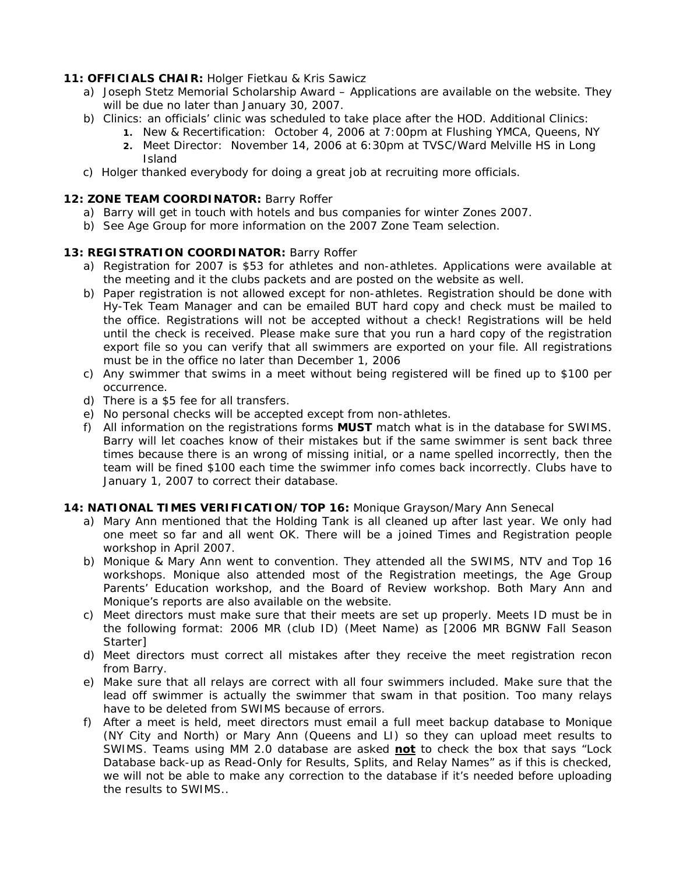# **11: OFFICIALS CHAIR:** Holger Fietkau & Kris Sawicz

- a) Joseph Stetz Memorial Scholarship Award Applications are available on the website. They will be due no later than January 30, 2007.
- b) Clinics: an officials' clinic was scheduled to take place after the HOD. Additional Clinics:
	- **1.** New & Recertification: October 4, 2006 at 7:00pm at Flushing YMCA, Queens, NY **2.** Meet Director: November 14, 2006 at 6:30pm at TVSC/Ward Melville HS in Long Island
- c) Holger thanked everybody for doing a great job at recruiting more officials.

### 12: **ZONE TEAM COORDINATOR:** Barry Roffer

- a) Barry will get in touch with hotels and bus companies for winter Zones 2007.
- b) See Age Group for more information on the 2007 Zone Team selection.

### **13: REGISTRATION COORDINATOR:** Barry Roffer

- a) Registration for 2007 is \$53 for athletes and non-athletes. Applications were available at the meeting and it the clubs packets and are posted on the website as well.
- b) Paper registration is not allowed except for non-athletes. Registration should be done with Hy-Tek Team Manager and can be emailed BUT hard copy and check must be mailed to the office. Registrations will not be accepted without a check! Registrations will be held until the check is received. Please make sure that you run a hard copy of the registration export file so you can verify that all swimmers are exported on your file. All registrations must be in the office no later than December 1, 2006
- c) Any swimmer that swims in a meet without being registered will be fined up to \$100 per occurrence.
- d) There is a \$5 fee for all transfers.
- e) No personal checks will be accepted except from non-athletes.
- f) All information on the registrations forms **MUST** match what is in the database for SWIMS. Barry will let coaches know of their mistakes but if the same swimmer is sent back three times because there is an wrong of missing initial, or a name spelled incorrectly, then the team will be fined \$100 each time the swimmer info comes back incorrectly. Clubs have to January 1, 2007 to correct their database.

### **14: NATIONAL TIMES VERIFICATION/TOP 16:** Monique Grayson/Mary Ann Senecal

- a) Mary Ann mentioned that the Holding Tank is all cleaned up after last year. We only had one meet so far and all went OK. There will be a joined Times and Registration people workshop in April 2007.
- b) Monique & Mary Ann went to convention. They attended all the SWIMS, NTV and Top 16 workshops. Monique also attended most of the Registration meetings, the Age Group Parents' Education workshop, and the Board of Review workshop. Both Mary Ann and Monique's reports are also available on the website.
- c) Meet directors must make sure that their meets are set up properly. Meets ID must be in the following format: 2006 MR (club ID) (Meet Name) as [2006 MR BGNW Fall Season Starter]
- d) Meet directors must correct all mistakes after they receive the meet registration recon from Barry.
- e) Make sure that all relays are correct with all four swimmers included. Make sure that the lead off swimmer is actually the swimmer that swam in that position. Too many relays have to be deleted from SWIMS because of errors.
- f) After a meet is held, meet directors must email a full meet backup database to Monique (NY City and North) or Mary Ann (Queens and LI) so they can upload meet results to SWIMS. Teams using MM 2.0 database are asked **not** to check the box that says "Lock Database back-up as Read-Only for Results, Splits, and Relay Names" as if this is checked, we will not be able to make any correction to the database if it's needed before uploading the results to SWIMS..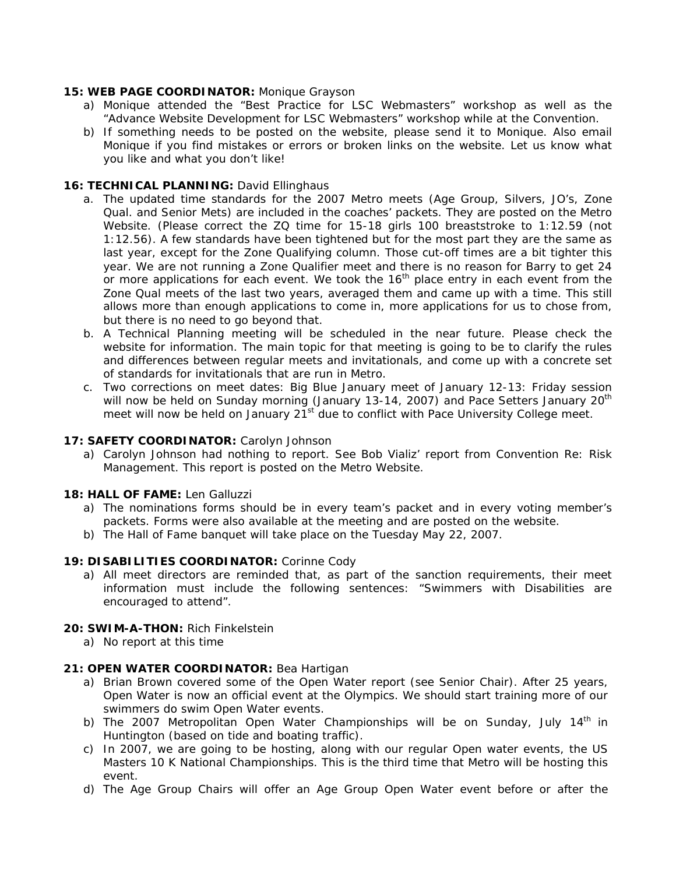## **15: WEB PAGE COORDINATOR:** Monique Grayson

- a) Monique attended the "Best Practice for LSC Webmasters" workshop as well as the "Advance Website Development for LSC Webmasters" workshop while at the Convention.
- b) If something needs to be posted on the website, please send it to Monique. Also email Monique if you find mistakes or errors or broken links on the website. Let us know what you like and what you don't like!

# 16: TECHNICAL PLANNING: David Ellinghaus

- a. The updated time standards for the 2007 Metro meets (Age Group, Silvers, JO's, Zone Qual. and Senior Mets) are included in the coaches' packets. They are posted on the Metro Website. (Please correct the ZQ time for 15-18 girls 100 breaststroke to 1:12.59 (not 1:12.56). A few standards have been tightened but for the most part they are the same as last year, except for the Zone Qualifying column. Those cut-off times are a bit tighter this year. We are not running a Zone Qualifier meet and there is no reason for Barry to get 24 or more applications for each event. We took the 16<sup>th</sup> place entry in each event from the Zone Qual meets of the last two years, averaged them and came up with a time. This still allows more than enough applications to come in, more applications for us to chose from, but there is no need to go beyond that.
- b. A Technical Planning meeting will be scheduled in the near future. Please check the website for information. The main topic for that meeting is going to be to clarify the rules and differences between regular meets and invitationals, and come up with a concrete set of standards for invitationals that are run in Metro.
- c. Two corrections on meet dates: Big Blue January meet of January 12-13: Friday session will now be held on Sunday morning (January 13-14, 2007) and Pace Setters January 20<sup>th</sup> meet will now be held on January  $21^{st}$  due to conflict with Pace University College meet.

## **17: SAFETY COORDINATOR:** Carolyn Johnson

a) Carolyn Johnson had nothing to report. See Bob Vializ' report from Convention Re: Risk Management. This report is posted on the Metro Website.

### **18: HALL OF FAME:** Len Galluzzi

- a) The nominations forms should be in every team's packet and in every voting member's packets. Forms were also available at the meeting and are posted on the website.
- b) The Hall of Fame banquet will take place on the Tuesday May 22, 2007.

### **19: DISABILITIES COORDINATOR:** Corinne Cody

a) All meet directors are reminded that, as part of the sanction requirements, their meet information must include the following sentences: "Swimmers with Disabilities are encouraged to attend".

### **20: SWIM-A-THON:** Rich Finkelstein

a) No report at this time

### **21: OPEN WATER COORDINATOR:** Bea Hartigan

- a) Brian Brown covered some of the Open Water report (see Senior Chair). After 25 years, Open Water is now an official event at the Olympics. We should start training more of our swimmers do swim Open Water events.
- b) The 2007 Metropolitan Open Water Championships will be on Sunday, July  $14<sup>th</sup>$  in Huntington (based on tide and boating traffic).
- c) In 2007, we are going to be hosting, along with our regular Open water events, the US Masters 10 K National Championships. This is the third time that Metro will be hosting this event.
- d) The Age Group Chairs will offer an Age Group Open Water event before or after the